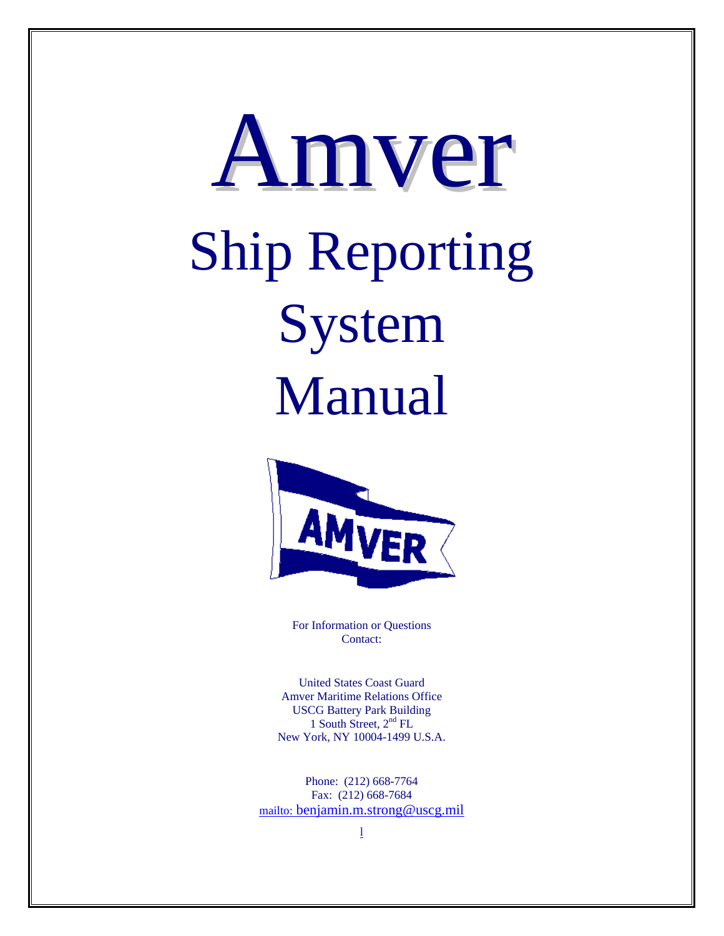# Amver Ship Reporting System Manual



For Information or Questions Contact:

United States Coast Guard Amver Maritime Relations Office USCG Battery Park Building 1 South Street,  $2<sup>nd</sup> FL$ New York, NY 10004-1499 U.S.A.

Phone: (212) 668-7764 Fax: (212) 668-7684 mailto: benjamin.m.strong@uscg.mil

l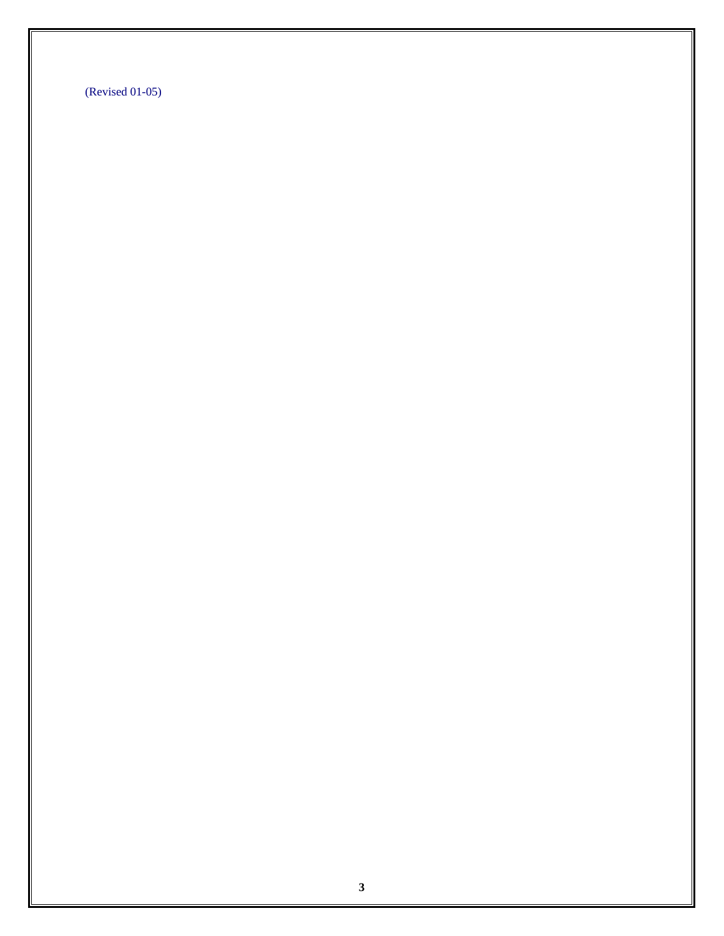(Revised 01-05)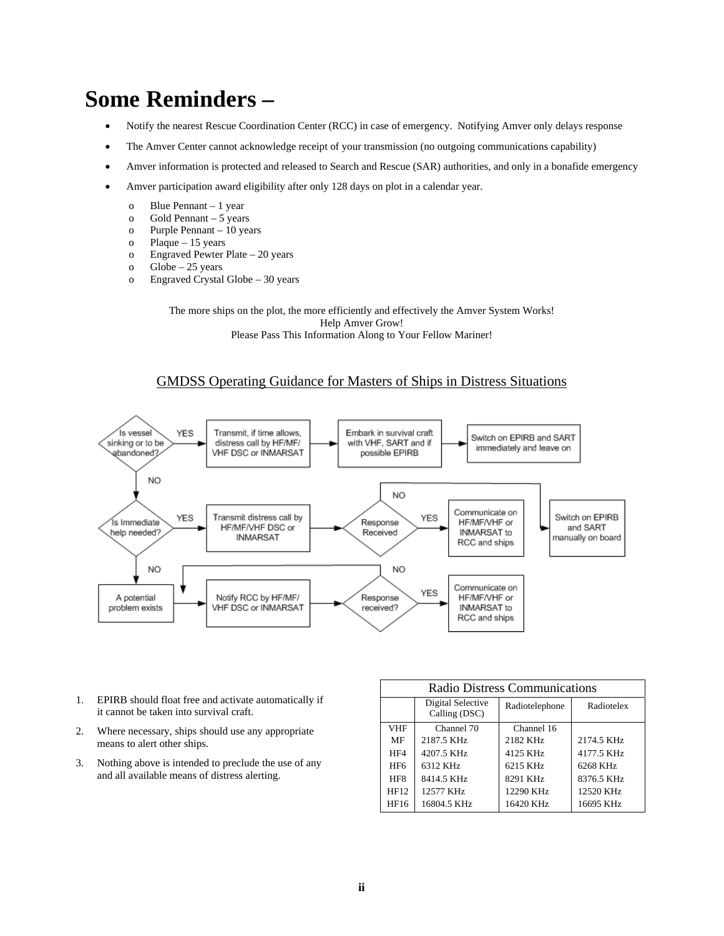# **Some Reminders –**

- Notify the nearest Rescue Coordination Center (RCC) in case of emergency. Notifying Amver only delays response
- The Amver Center cannot acknowledge receipt of your transmission (no outgoing communications capability)
- Amver information is protected and released to Search and Rescue (SAR) authorities, and only in a bonafide emergency
- Amver participation award eligibility after only 128 days on plot in a calendar year.
	- o Blue Pennant 1 year
	- o Gold Pennant 5 years
	- o Purple Pennant 10 years
	- o Plaque 15 years
	- o Engraved Pewter Plate 20 years
	- o Globe 25 years
	- o Engraved Crystal Globe 30 years

The more ships on the plot, the more efficiently and effectively the Amver System Works! Help Amver Grow! Please Pass This Information Along to Your Fellow Mariner!

#### GMDSS Operating Guidance for Masters of Ships in Distress Situations



- 1. EPIRB should float free and activate automatically if it cannot be taken into survival craft.
- 2. Where necessary, ships should use any appropriate means to alert other ships.
- 3. Nothing above is intended to preclude the use of any and all available means of distress alerting.

| <b>Radio Distress Communications</b> |                                    |                |            |  |  |  |
|--------------------------------------|------------------------------------|----------------|------------|--|--|--|
|                                      | Digital Selective<br>Calling (DSC) | Radiotelephone | Radiotelex |  |  |  |
| <b>VHF</b>                           | Channel 70                         | Channel 16     |            |  |  |  |
| MF                                   | 2187.5 KHz                         | 2182 KHz       | 2174.5 KHz |  |  |  |
| HF4                                  | 4207.5 KHz                         | 4125 KHz       | 4177.5 KHz |  |  |  |
| HF <sub>6</sub>                      | 6312 KHz                           | 6215 KHz       | 6268 KHz   |  |  |  |
| HF <sub>8</sub>                      | 8414.5 KHz                         | 8291 KHz       | 8376.5 KHz |  |  |  |
| HF12                                 | 12577 KHz                          | 12290 KHz      | 12520 KHz  |  |  |  |
| HF16                                 | 16804.5 KHz                        | 16420 KHz      | 16695 KHz  |  |  |  |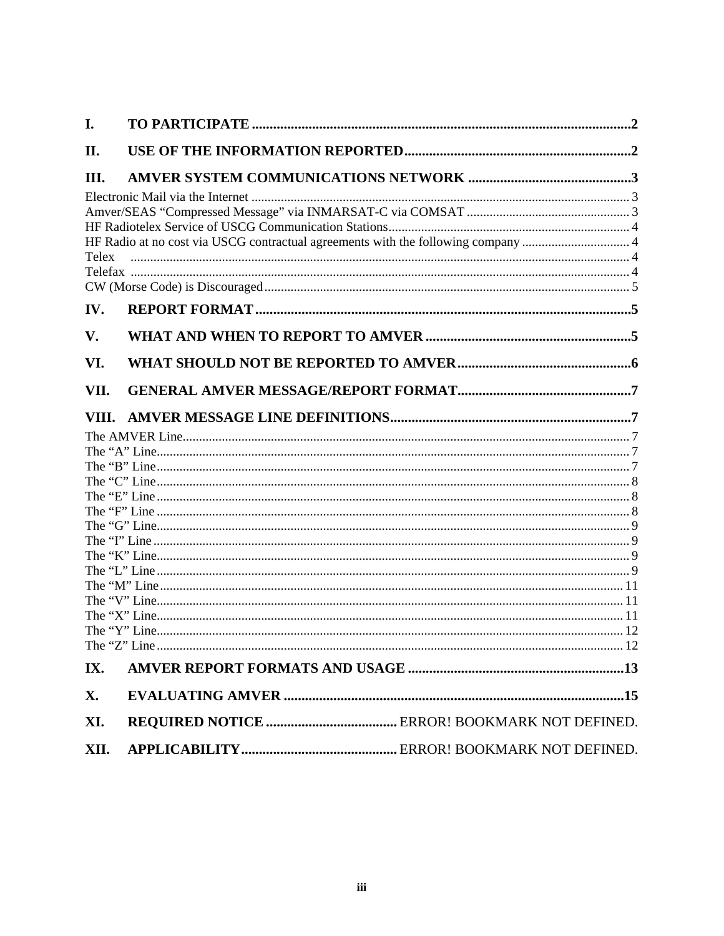| I.           |                                                                                   |
|--------------|-----------------------------------------------------------------------------------|
| II.          |                                                                                   |
| III.         |                                                                                   |
| <b>Telex</b> | HF Radio at no cost via USCG contractual agreements with the following company  4 |
| IV.          |                                                                                   |
| V.           |                                                                                   |
| VI.          |                                                                                   |
| VII.         |                                                                                   |
| VIII.        |                                                                                   |
|              |                                                                                   |
|              |                                                                                   |
|              |                                                                                   |
|              |                                                                                   |
|              |                                                                                   |
|              |                                                                                   |
|              |                                                                                   |
|              |                                                                                   |
|              |                                                                                   |
|              |                                                                                   |
|              |                                                                                   |
|              |                                                                                   |
|              |                                                                                   |
|              |                                                                                   |
| IX.          |                                                                                   |
| X.           |                                                                                   |
| XI.          |                                                                                   |
| XII.         |                                                                                   |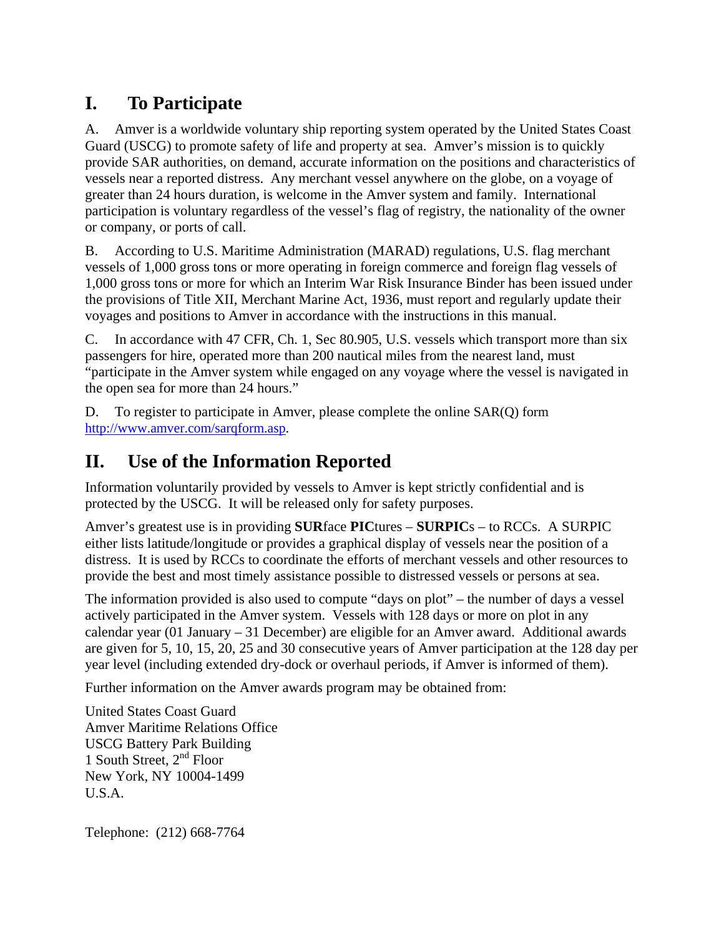## **I. To Participate**

A. Amver is a worldwide voluntary ship reporting system operated by the United States Coast Guard (USCG) to promote safety of life and property at sea. Amver's mission is to quickly provide SAR authorities, on demand, accurate information on the positions and characteristics of vessels near a reported distress. Any merchant vessel anywhere on the globe, on a voyage of greater than 24 hours duration, is welcome in the Amver system and family. International participation is voluntary regardless of the vessel's flag of registry, the nationality of the owner or company, or ports of call.

B. According to U.S. Maritime Administration (MARAD) regulations, U.S. flag merchant vessels of 1,000 gross tons or more operating in foreign commerce and foreign flag vessels of 1,000 gross tons or more for which an Interim War Risk Insurance Binder has been issued under the provisions of Title XII, Merchant Marine Act, 1936, must report and regularly update their voyages and positions to Amver in accordance with the instructions in this manual.

C. In accordance with 47 CFR, Ch. 1, Sec 80.905, U.S. vessels which transport more than six passengers for hire, operated more than 200 nautical miles from the nearest land, must "participate in the Amver system while engaged on any voyage where the vessel is navigated in the open sea for more than 24 hours."

D. To register to participate in Amver, please complete the online SAR(Q) form http://www.amver.com/sarqform.asp.

## **II. Use of the Information Reported**

Information voluntarily provided by vessels to Amver is kept strictly confidential and is protected by the USCG. It will be released only for safety purposes.

Amver's greatest use is in providing **SUR**face **PIC**tures – **SURPIC**s – to RCCs. A SURPIC either lists latitude/longitude or provides a graphical display of vessels near the position of a distress. It is used by RCCs to coordinate the efforts of merchant vessels and other resources to provide the best and most timely assistance possible to distressed vessels or persons at sea.

The information provided is also used to compute "days on plot" – the number of days a vessel actively participated in the Amver system. Vessels with 128 days or more on plot in any calendar year (01 January – 31 December) are eligible for an Amver award. Additional awards are given for 5, 10, 15, 20, 25 and 30 consecutive years of Amver participation at the 128 day per year level (including extended dry-dock or overhaul periods, if Amver is informed of them).

Further information on the Amver awards program may be obtained from:

United States Coast Guard Amver Maritime Relations Office USCG Battery Park Building 1 South Street,  $2<sup>nd</sup>$  Floor New York, NY 10004-1499 U.S.A.

Telephone: (212) 668-7764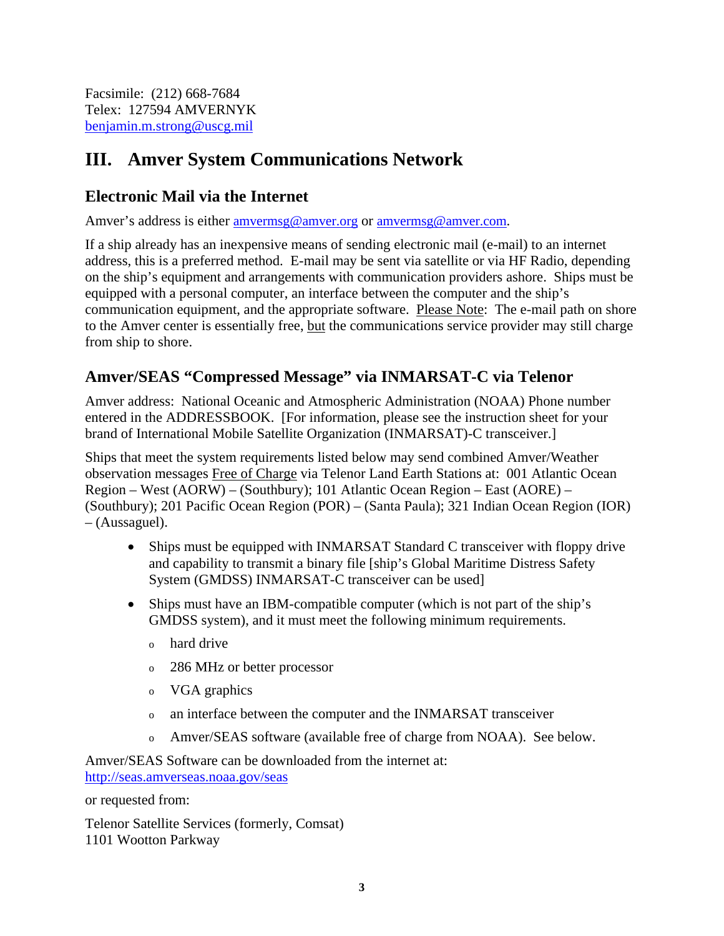Facsimile: (212) 668-7684 Telex: 127594 AMVERNYK benjamin.m.strong@uscg.mil

## **III. Amver System Communications Network**

#### **Electronic Mail via the Internet**

Amver's address is either amvermsg@amver.org or amvermsg@amver.com.

If a ship already has an inexpensive means of sending electronic mail (e-mail) to an internet address, this is a preferred method. E-mail may be sent via satellite or via HF Radio, depending on the ship's equipment and arrangements with communication providers ashore. Ships must be equipped with a personal computer, an interface between the computer and the ship's communication equipment, and the appropriate software. Please Note: The e-mail path on shore to the Amver center is essentially free, but the communications service provider may still charge from ship to shore.

#### **Amver/SEAS "Compressed Message" via INMARSAT-C via Telenor**

Amver address: National Oceanic and Atmospheric Administration (NOAA) Phone number entered in the ADDRESSBOOK. [For information, please see the instruction sheet for your brand of International Mobile Satellite Organization (INMARSAT)-C transceiver.]

Ships that meet the system requirements listed below may send combined Amver/Weather observation messages Free of Charge via Telenor Land Earth Stations at: 001 Atlantic Ocean Region – West (AORW) – (Southbury); 101 Atlantic Ocean Region – East (AORE) – (Southbury); 201 Pacific Ocean Region (POR) – (Santa Paula); 321 Indian Ocean Region (IOR) – (Aussaguel).

- Ships must be equipped with INMARSAT Standard C transceiver with floppy drive and capability to transmit a binary file [ship's Global Maritime Distress Safety System (GMDSS) INMARSAT-C transceiver can be used]
- Ships must have an IBM-compatible computer (which is not part of the ship's GMDSS system), and it must meet the following minimum requirements.
	- o hard drive
	- o 286 MHz or better processor
	- o VGA graphics
	- o an interface between the computer and the INMARSAT transceiver
	- o Amver/SEAS software (available free of charge from NOAA). See below.

Amver/SEAS Software can be downloaded from the internet at: http://seas.amverseas.noaa.gov/seas

or requested from:

Telenor Satellite Services (formerly, Comsat) 1101 Wootton Parkway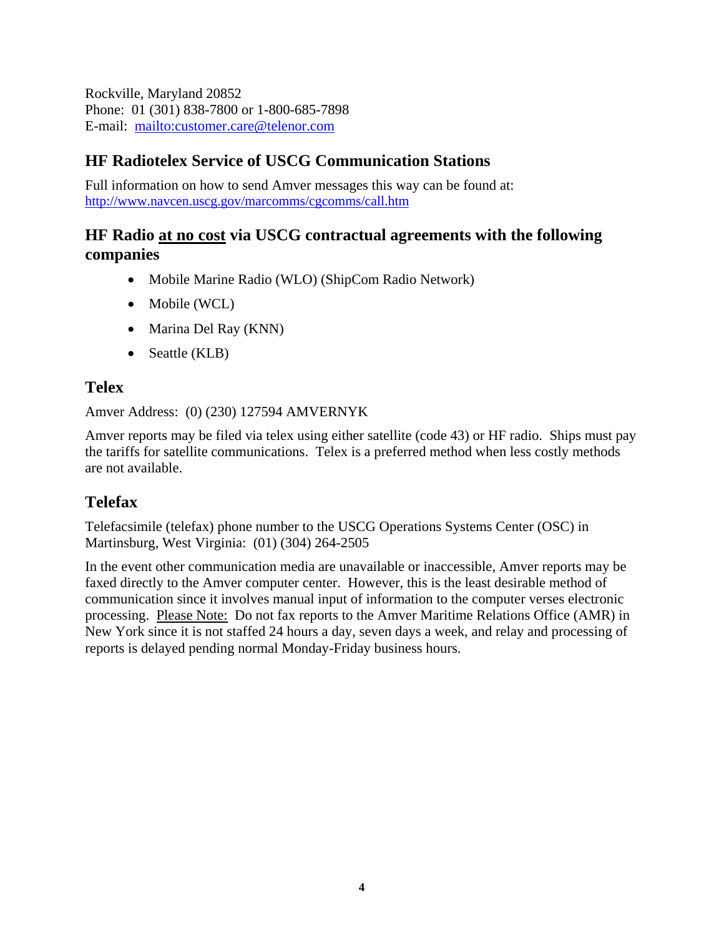Rockville, Maryland 20852 Phone: 01 (301) 838-7800 or 1-800-685-7898 E-mail: mailto:customer.care@telenor.com

### **HF Radiotelex Service of USCG Communication Stations**

Full information on how to send Amver messages this way can be found at: http://www.navcen.uscg.gov/marcomms/cgcomms/call.htm

#### **HF Radio at no cost via USCG contractual agreements with the following companies**

- Mobile Marine Radio (WLO) (ShipCom Radio Network)
- Mobile (WCL)
- Marina Del Ray (KNN)
- Seattle (KLB)

#### **Telex**

Amver Address: (0) (230) 127594 AMVERNYK

Amver reports may be filed via telex using either satellite (code 43) or HF radio. Ships must pay the tariffs for satellite communications. Telex is a preferred method when less costly methods are not available.

## **Telefax**

Telefacsimile (telefax) phone number to the USCG Operations Systems Center (OSC) in Martinsburg, West Virginia: (01) (304) 264-2505

In the event other communication media are unavailable or inaccessible, Amver reports may be faxed directly to the Amver computer center. However, this is the least desirable method of communication since it involves manual input of information to the computer verses electronic processing. Please Note: Do not fax reports to the Amver Maritime Relations Office (AMR) in New York since it is not staffed 24 hours a day, seven days a week, and relay and processing of reports is delayed pending normal Monday-Friday business hours.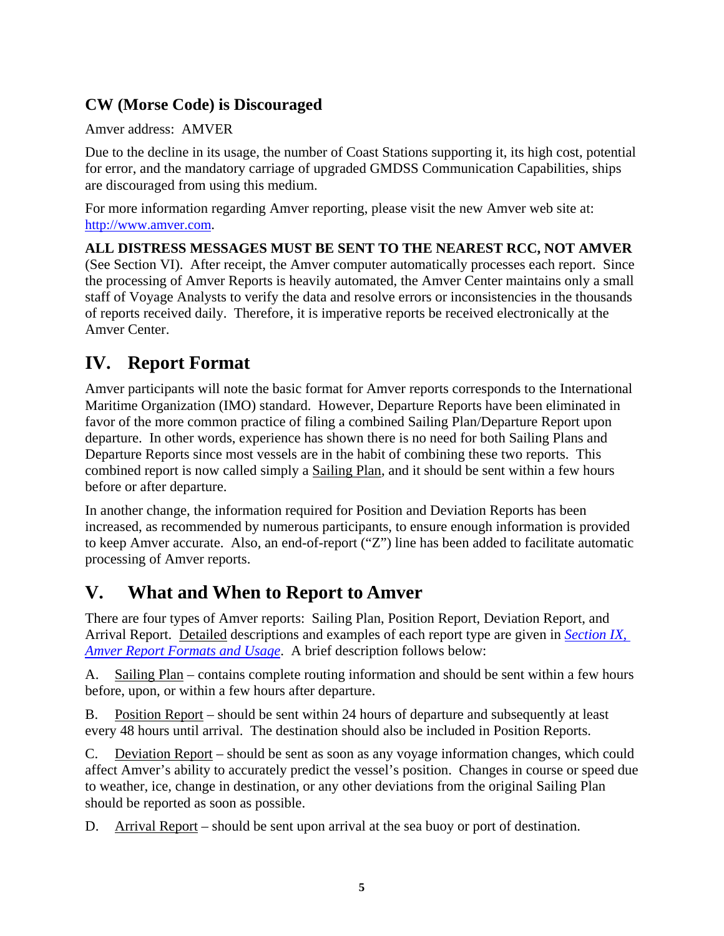#### **CW (Morse Code) is Discouraged**

Amver address: AMVER

Due to the decline in its usage, the number of Coast Stations supporting it, its high cost, potential for error, and the mandatory carriage of upgraded GMDSS Communication Capabilities, ships are discouraged from using this medium.

For more information regarding Amver reporting, please visit the new Amver web site at: http://www.amver.com.

**ALL DISTRESS MESSAGES MUST BE SENT TO THE NEAREST RCC, NOT AMVER**  (See Section VI). After receipt, the Amver computer automatically processes each report. Since the processing of Amver Reports is heavily automated, the Amver Center maintains only a small staff of Voyage Analysts to verify the data and resolve errors or inconsistencies in the thousands of reports received daily. Therefore, it is imperative reports be received electronically at the Amver Center.

## **IV. Report Format**

Amver participants will note the basic format for Amver reports corresponds to the International Maritime Organization (IMO) standard. However, Departure Reports have been eliminated in favor of the more common practice of filing a combined Sailing Plan/Departure Report upon departure. In other words, experience has shown there is no need for both Sailing Plans and Departure Reports since most vessels are in the habit of combining these two reports. This combined report is now called simply a Sailing Plan, and it should be sent within a few hours before or after departure.

In another change, the information required for Position and Deviation Reports has been increased, as recommended by numerous participants, to ensure enough information is provided to keep Amver accurate. Also, an end-of-report ("Z") line has been added to facilitate automatic processing of Amver reports.

## **V. What and When to Report to Amver**

There are four types of Amver reports: Sailing Plan, Position Report, Deviation Report, and Arrival Report. Detailed descriptions and examples of each report type are given in *Section IX, Amver Report Formats and Usage*. A brief description follows below:

A. Sailing Plan – contains complete routing information and should be sent within a few hours before, upon, or within a few hours after departure.

B. Position Report – should be sent within 24 hours of departure and subsequently at least every 48 hours until arrival. The destination should also be included in Position Reports.

C. Deviation Report – should be sent as soon as any voyage information changes, which could affect Amver's ability to accurately predict the vessel's position. Changes in course or speed due to weather, ice, change in destination, or any other deviations from the original Sailing Plan should be reported as soon as possible.

D. Arrival Report – should be sent upon arrival at the sea buoy or port of destination.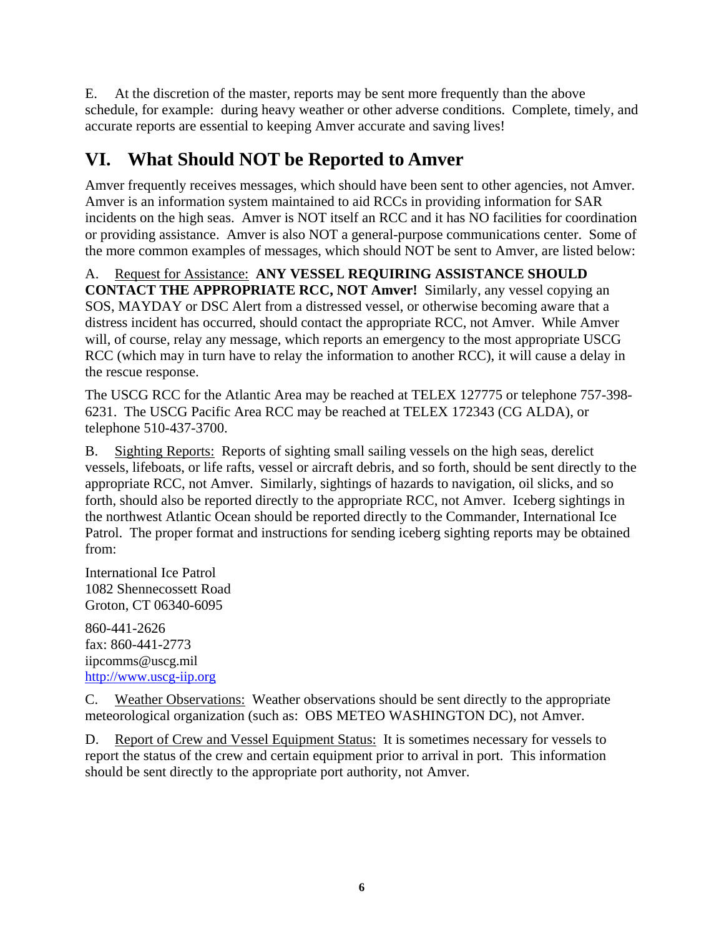E. At the discretion of the master, reports may be sent more frequently than the above schedule, for example: during heavy weather or other adverse conditions. Complete, timely, and accurate reports are essential to keeping Amver accurate and saving lives!

## **VI. What Should NOT be Reported to Amver**

Amver frequently receives messages, which should have been sent to other agencies, not Amver. Amver is an information system maintained to aid RCCs in providing information for SAR incidents on the high seas. Amver is NOT itself an RCC and it has NO facilities for coordination or providing assistance. Amver is also NOT a general-purpose communications center. Some of the more common examples of messages, which should NOT be sent to Amver, are listed below:

A. Request for Assistance: **ANY VESSEL REQUIRING ASSISTANCE SHOULD CONTACT THE APPROPRIATE RCC, NOT Amver!** Similarly, any vessel copying an SOS, MAYDAY or DSC Alert from a distressed vessel, or otherwise becoming aware that a distress incident has occurred, should contact the appropriate RCC, not Amver. While Amver will, of course, relay any message, which reports an emergency to the most appropriate USCG RCC (which may in turn have to relay the information to another RCC), it will cause a delay in the rescue response.

The USCG RCC for the Atlantic Area may be reached at TELEX 127775 or telephone 757-398- 6231. The USCG Pacific Area RCC may be reached at TELEX 172343 (CG ALDA), or telephone 510-437-3700.

B. Sighting Reports: Reports of sighting small sailing vessels on the high seas, derelict vessels, lifeboats, or life rafts, vessel or aircraft debris, and so forth, should be sent directly to the appropriate RCC, not Amver. Similarly, sightings of hazards to navigation, oil slicks, and so forth, should also be reported directly to the appropriate RCC, not Amver. Iceberg sightings in the northwest Atlantic Ocean should be reported directly to the Commander, International Ice Patrol. The proper format and instructions for sending iceberg sighting reports may be obtained from:

International Ice Patrol 1082 Shennecossett Road Groton, CT 06340-6095

860-441-2626 fax: 860-441-2773 iipcomms@uscg.mil http://www.uscg-iip.org

C. Weather Observations: Weather observations should be sent directly to the appropriate meteorological organization (such as: OBS METEO WASHINGTON DC), not Amver.

D. Report of Crew and Vessel Equipment Status: It is sometimes necessary for vessels to report the status of the crew and certain equipment prior to arrival in port. This information should be sent directly to the appropriate port authority, not Amver.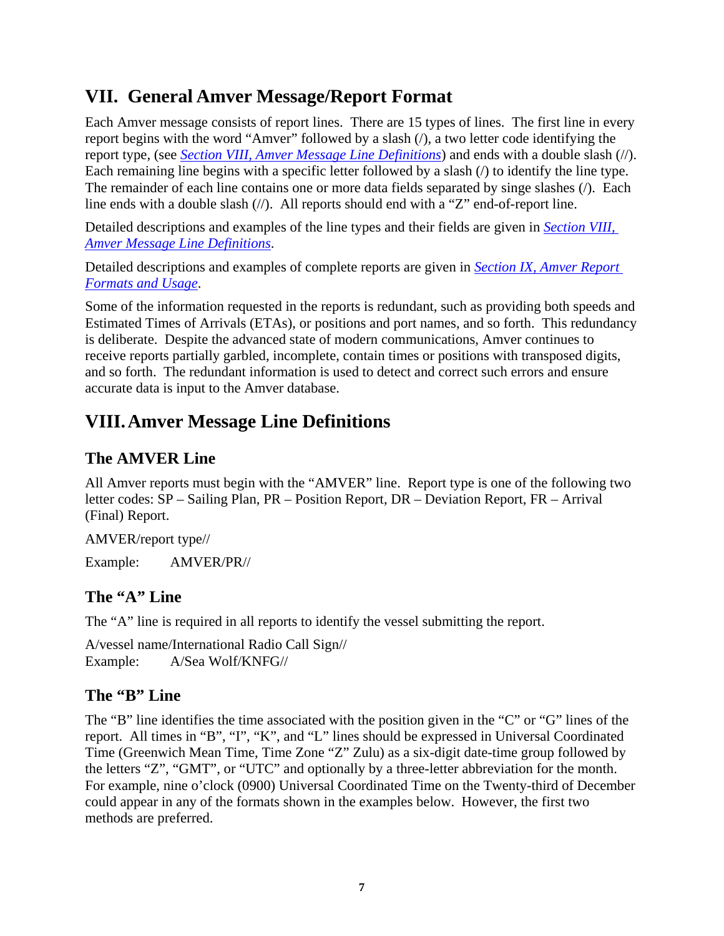## **VII. General Amver Message/Report Format**

Each Amver message consists of report lines. There are 15 types of lines. The first line in every report begins with the word "Amver" followed by a slash ( $\ell$ ), a two letter code identifying the report type, (see *Section VIII, Amver Message Line Definitions*) and ends with a double slash (//). Each remaining line begins with a specific letter followed by a slash (/) to identify the line type. The remainder of each line contains one or more data fields separated by singe slashes (/). Each line ends with a double slash  $\langle \rangle$ . All reports should end with a "Z" end-of-report line.

Detailed descriptions and examples of the line types and their fields are given in *Section VIII, Amver Message Line Definitions*.

Detailed descriptions and examples of complete reports are given in *Section IX, Amver Report Formats and Usage*.

Some of the information requested in the reports is redundant, such as providing both speeds and Estimated Times of Arrivals (ETAs), or positions and port names, and so forth. This redundancy is deliberate. Despite the advanced state of modern communications, Amver continues to receive reports partially garbled, incomplete, contain times or positions with transposed digits, and so forth. The redundant information is used to detect and correct such errors and ensure accurate data is input to the Amver database.

## **VIII.Amver Message Line Definitions**

### **The AMVER Line**

All Amver reports must begin with the "AMVER" line. Report type is one of the following two letter codes: SP – Sailing Plan, PR – Position Report, DR – Deviation Report, FR – Arrival (Final) Report.

AMVER/report type//

Example: AMVER/PR//

#### **The "A" Line**

The "A" line is required in all reports to identify the vessel submitting the report.

A/vessel name/International Radio Call Sign// Example: A/Sea Wolf/KNFG//

#### **The "B" Line**

The "B" line identifies the time associated with the position given in the "C" or "G" lines of the report. All times in "B", "I", "K", and "L" lines should be expressed in Universal Coordinated Time (Greenwich Mean Time, Time Zone "Z" Zulu) as a six-digit date-time group followed by the letters "Z", "GMT", or "UTC" and optionally by a three-letter abbreviation for the month. For example, nine o'clock (0900) Universal Coordinated Time on the Twenty-third of December could appear in any of the formats shown in the examples below. However, the first two methods are preferred.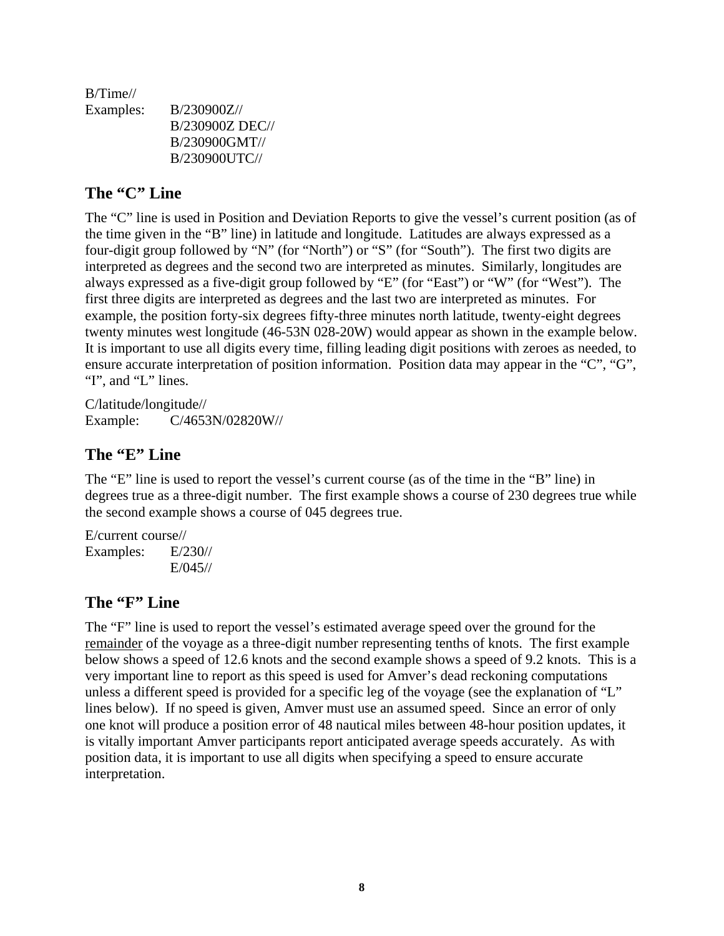B/Time// Examples: B/230900Z// B/230900Z DEC// B/230900GMT// B/230900UTC//

#### **The "C" Line**

The "C" line is used in Position and Deviation Reports to give the vessel's current position (as of the time given in the "B" line) in latitude and longitude. Latitudes are always expressed as a four-digit group followed by "N" (for "North") or "S" (for "South"). The first two digits are interpreted as degrees and the second two are interpreted as minutes. Similarly, longitudes are always expressed as a five-digit group followed by "E" (for "East") or "W" (for "West"). The first three digits are interpreted as degrees and the last two are interpreted as minutes. For example, the position forty-six degrees fifty-three minutes north latitude, twenty-eight degrees twenty minutes west longitude (46-53N 028-20W) would appear as shown in the example below. It is important to use all digits every time, filling leading digit positions with zeroes as needed, to ensure accurate interpretation of position information. Position data may appear in the "C", "G", "I", and "L" lines.

C/latitude/longitude// Example: C/4653N/02820W//

#### **The "E" Line**

The "E" line is used to report the vessel's current course (as of the time in the "B" line) in degrees true as a three-digit number. The first example shows a course of 230 degrees true while the second example shows a course of 045 degrees true.

E/current course// Examples: E/230// E/045//

#### **The "F" Line**

The "F" line is used to report the vessel's estimated average speed over the ground for the remainder of the voyage as a three-digit number representing tenths of knots. The first example below shows a speed of 12.6 knots and the second example shows a speed of 9.2 knots. This is a very important line to report as this speed is used for Amver's dead reckoning computations unless a different speed is provided for a specific leg of the voyage (see the explanation of "L" lines below). If no speed is given, Amver must use an assumed speed. Since an error of only one knot will produce a position error of 48 nautical miles between 48-hour position updates, it is vitally important Amver participants report anticipated average speeds accurately. As with position data, it is important to use all digits when specifying a speed to ensure accurate interpretation.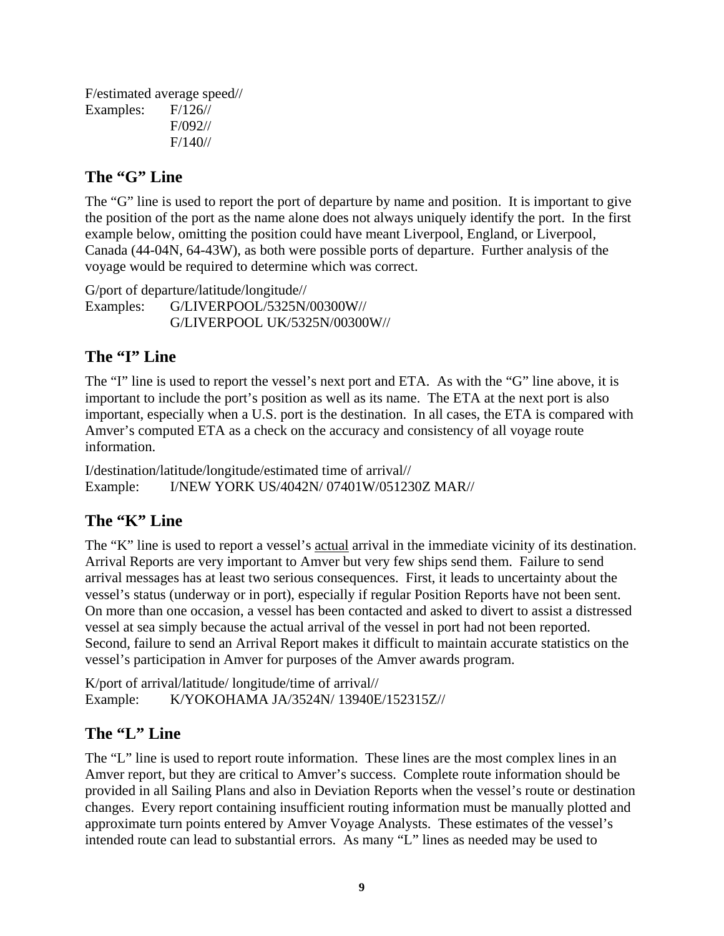F/estimated average speed// Examples: F/126// F/092// F/140//

#### **The "G" Line**

The "G" line is used to report the port of departure by name and position. It is important to give the position of the port as the name alone does not always uniquely identify the port. In the first example below, omitting the position could have meant Liverpool, England, or Liverpool, Canada (44-04N, 64-43W), as both were possible ports of departure. Further analysis of the voyage would be required to determine which was correct.

G/port of departure/latitude/longitude// Examples: G/LIVERPOOL/5325N/00300W// G/LIVERPOOL UK/5325N/00300W//

#### **The "I" Line**

The "I" line is used to report the vessel's next port and ETA. As with the "G" line above, it is important to include the port's position as well as its name. The ETA at the next port is also important, especially when a U.S. port is the destination. In all cases, the ETA is compared with Amver's computed ETA as a check on the accuracy and consistency of all voyage route information.

I/destination/latitude/longitude/estimated time of arrival// Example: I/NEW YORK US/4042N/ 07401W/051230Z MAR//

#### **The "K" Line**

The "K" line is used to report a vessel's <u>actual</u> arrival in the immediate vicinity of its destination. Arrival Reports are very important to Amver but very few ships send them. Failure to send arrival messages has at least two serious consequences. First, it leads to uncertainty about the vessel's status (underway or in port), especially if regular Position Reports have not been sent. On more than one occasion, a vessel has been contacted and asked to divert to assist a distressed vessel at sea simply because the actual arrival of the vessel in port had not been reported. Second, failure to send an Arrival Report makes it difficult to maintain accurate statistics on the vessel's participation in Amver for purposes of the Amver awards program.

K/port of arrival/latitude/ longitude/time of arrival// Example: K/YOKOHAMA JA/3524N/ 13940E/152315Z//

#### **The "L" Line**

The "L" line is used to report route information. These lines are the most complex lines in an Amver report, but they are critical to Amver's success. Complete route information should be provided in all Sailing Plans and also in Deviation Reports when the vessel's route or destination changes. Every report containing insufficient routing information must be manually plotted and approximate turn points entered by Amver Voyage Analysts. These estimates of the vessel's intended route can lead to substantial errors. As many "L" lines as needed may be used to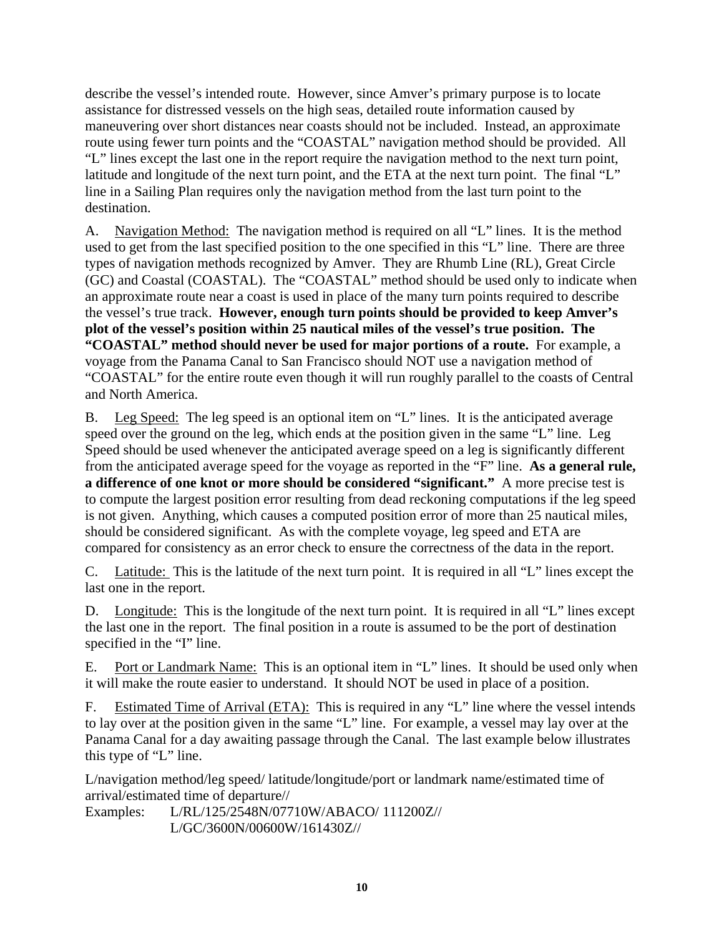describe the vessel's intended route. However, since Amver's primary purpose is to locate assistance for distressed vessels on the high seas, detailed route information caused by maneuvering over short distances near coasts should not be included. Instead, an approximate route using fewer turn points and the "COASTAL" navigation method should be provided. All "L" lines except the last one in the report require the navigation method to the next turn point, latitude and longitude of the next turn point, and the ETA at the next turn point. The final "L" line in a Sailing Plan requires only the navigation method from the last turn point to the destination.

A. Navigation Method: The navigation method is required on all "L" lines. It is the method used to get from the last specified position to the one specified in this "L" line. There are three types of navigation methods recognized by Amver. They are Rhumb Line (RL), Great Circle (GC) and Coastal (COASTAL). The "COASTAL" method should be used only to indicate when an approximate route near a coast is used in place of the many turn points required to describe the vessel's true track. **However, enough turn points should be provided to keep Amver's plot of the vessel's position within 25 nautical miles of the vessel's true position. The "COASTAL" method should never be used for major portions of a route.** For example, a voyage from the Panama Canal to San Francisco should NOT use a navigation method of "COASTAL" for the entire route even though it will run roughly parallel to the coasts of Central and North America.

B. Leg Speed: The leg speed is an optional item on "L" lines. It is the anticipated average speed over the ground on the leg, which ends at the position given in the same "L" line. Leg Speed should be used whenever the anticipated average speed on a leg is significantly different from the anticipated average speed for the voyage as reported in the "F" line. **As a general rule, a difference of one knot or more should be considered "significant."** A more precise test is to compute the largest position error resulting from dead reckoning computations if the leg speed is not given. Anything, which causes a computed position error of more than 25 nautical miles, should be considered significant. As with the complete voyage, leg speed and ETA are compared for consistency as an error check to ensure the correctness of the data in the report.

C. Latitude: This is the latitude of the next turn point. It is required in all "L" lines except the last one in the report.

D. Longitude: This is the longitude of the next turn point. It is required in all "L" lines except the last one in the report. The final position in a route is assumed to be the port of destination specified in the "I" line.

E. Port or Landmark Name: This is an optional item in "L" lines. It should be used only when it will make the route easier to understand. It should NOT be used in place of a position.

F. Estimated Time of Arrival (ETA): This is required in any "L" line where the vessel intends to lay over at the position given in the same "L" line. For example, a vessel may lay over at the Panama Canal for a day awaiting passage through the Canal. The last example below illustrates this type of "L" line.

L/navigation method/leg speed/ latitude/longitude/port or landmark name/estimated time of arrival/estimated time of departure//

Examples: L/RL/125/2548N/07710W/ABACO/ 111200Z// L/GC/3600N/00600W/161430Z//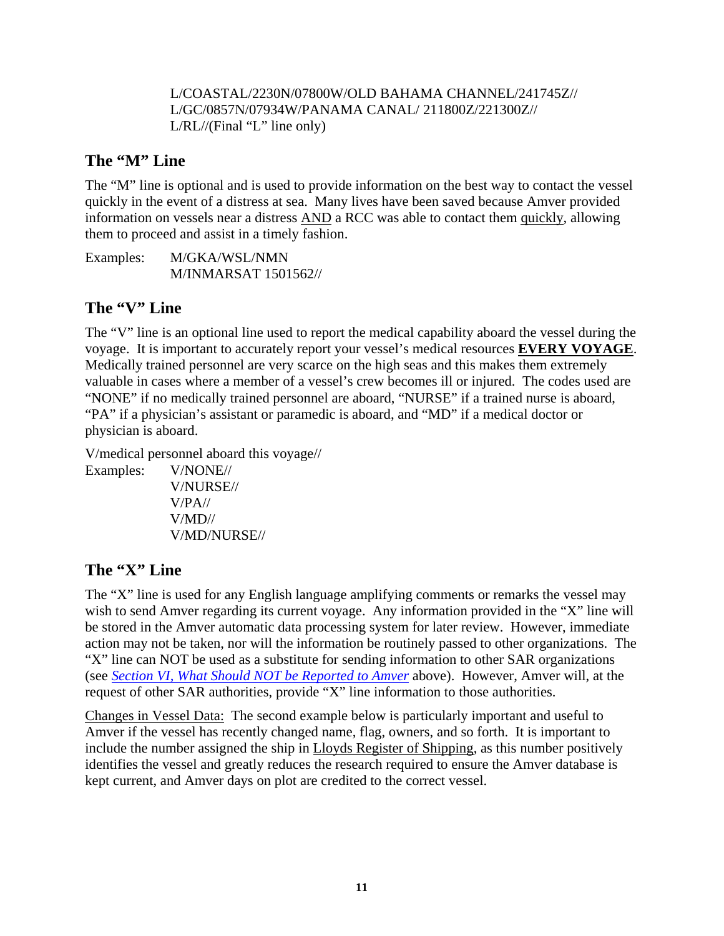#### L/COASTAL/2230N/07800W/OLD BAHAMA CHANNEL/241745Z// L/GC/0857N/07934W/PANAMA CANAL/ 211800Z/221300Z//  $L/RL/$  (Final "L" line only)

#### **The "M" Line**

The "M" line is optional and is used to provide information on the best way to contact the vessel quickly in the event of a distress at sea. Many lives have been saved because Amver provided information on vessels near a distress AND a RCC was able to contact them quickly, allowing them to proceed and assist in a timely fashion.

Examples: M/GKA/WSL/NMN M/INMARSAT 1501562//

#### **The "V" Line**

The "V" line is an optional line used to report the medical capability aboard the vessel during the voyage. It is important to accurately report your vessel's medical resources **EVERY VOYAGE**. Medically trained personnel are very scarce on the high seas and this makes them extremely valuable in cases where a member of a vessel's crew becomes ill or injured. The codes used are "NONE" if no medically trained personnel are aboard, "NURSE" if a trained nurse is aboard, "PA" if a physician's assistant or paramedic is aboard, and "MD" if a medical doctor or physician is aboard.

V/medical personnel aboard this voyage//

Examples: V/NONE// V/NURSE// V/PA// V/MD// V/MD/NURSE//

#### **The "X" Line**

The "X" line is used for any English language amplifying comments or remarks the vessel may wish to send Amver regarding its current voyage. Any information provided in the "X" line will be stored in the Amver automatic data processing system for later review. However, immediate action may not be taken, nor will the information be routinely passed to other organizations. The "X" line can NOT be used as a substitute for sending information to other SAR organizations (see *Section VI, What Should NOT be Reported to Amver* above). However, Amver will, at the request of other SAR authorities, provide "X" line information to those authorities.

Changes in Vessel Data: The second example below is particularly important and useful to Amver if the vessel has recently changed name, flag, owners, and so forth. It is important to include the number assigned the ship in Lloyds Register of Shipping, as this number positively identifies the vessel and greatly reduces the research required to ensure the Amver database is kept current, and Amver days on plot are credited to the correct vessel.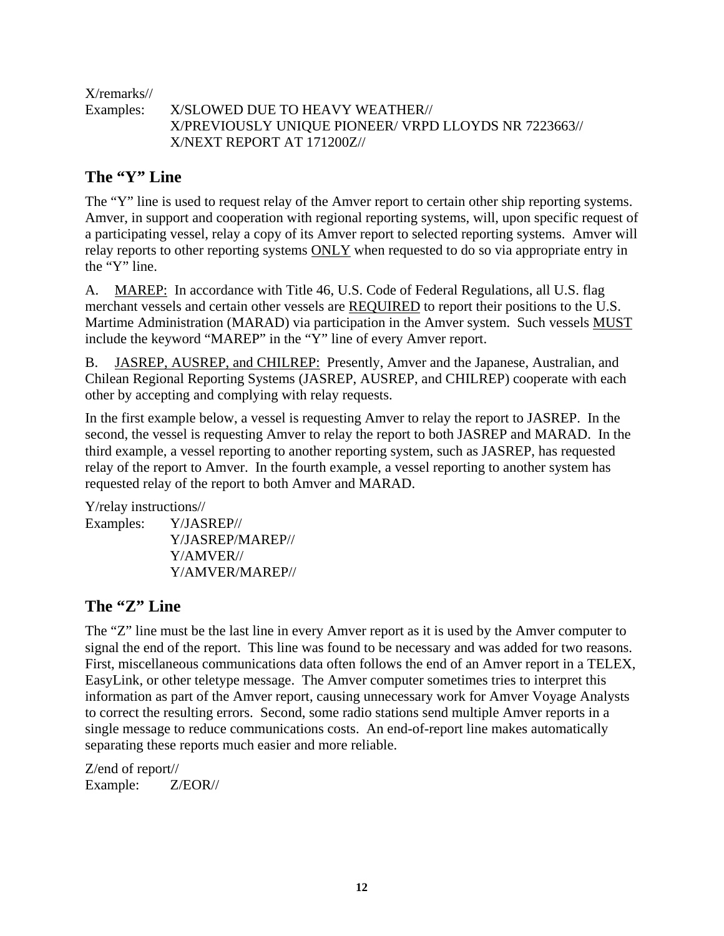X/remarks//

Examples: X/SLOWED DUE TO HEAVY WEATHER// X/PREVIOUSLY UNIQUE PIONEER/ VRPD LLOYDS NR 7223663// X/NEXT REPORT AT 171200Z//

#### **The "Y" Line**

The "Y" line is used to request relay of the Amver report to certain other ship reporting systems. Amver, in support and cooperation with regional reporting systems, will, upon specific request of a participating vessel, relay a copy of its Amver report to selected reporting systems. Amver will relay reports to other reporting systems ONLY when requested to do so via appropriate entry in the "Y" line.

A. MAREP: In accordance with Title 46, U.S. Code of Federal Regulations, all U.S. flag merchant vessels and certain other vessels are REQUIRED to report their positions to the U.S. Martime Administration (MARAD) via participation in the Amver system. Such vessels MUST include the keyword "MAREP" in the "Y" line of every Amver report.

B. JASREP, AUSREP, and CHILREP: Presently, Amver and the Japanese, Australian, and Chilean Regional Reporting Systems (JASREP, AUSREP, and CHILREP) cooperate with each other by accepting and complying with relay requests.

In the first example below, a vessel is requesting Amver to relay the report to JASREP. In the second, the vessel is requesting Amver to relay the report to both JASREP and MARAD. In the third example, a vessel reporting to another reporting system, such as JASREP, has requested relay of the report to Amver. In the fourth example, a vessel reporting to another system has requested relay of the report to both Amver and MARAD.

Y/relay instructions//

Examples: Y/JASREP// Y/JASREP/MAREP// Y/AMVER// Y/AMVER/MAREP//

#### **The "Z" Line**

The "Z" line must be the last line in every Amver report as it is used by the Amver computer to signal the end of the report. This line was found to be necessary and was added for two reasons. First, miscellaneous communications data often follows the end of an Amver report in a TELEX, EasyLink, or other teletype message. The Amver computer sometimes tries to interpret this information as part of the Amver report, causing unnecessary work for Amver Voyage Analysts to correct the resulting errors. Second, some radio stations send multiple Amver reports in a single message to reduce communications costs. An end-of-report line makes automatically separating these reports much easier and more reliable.

Z/end of report// Example: Z/EOR//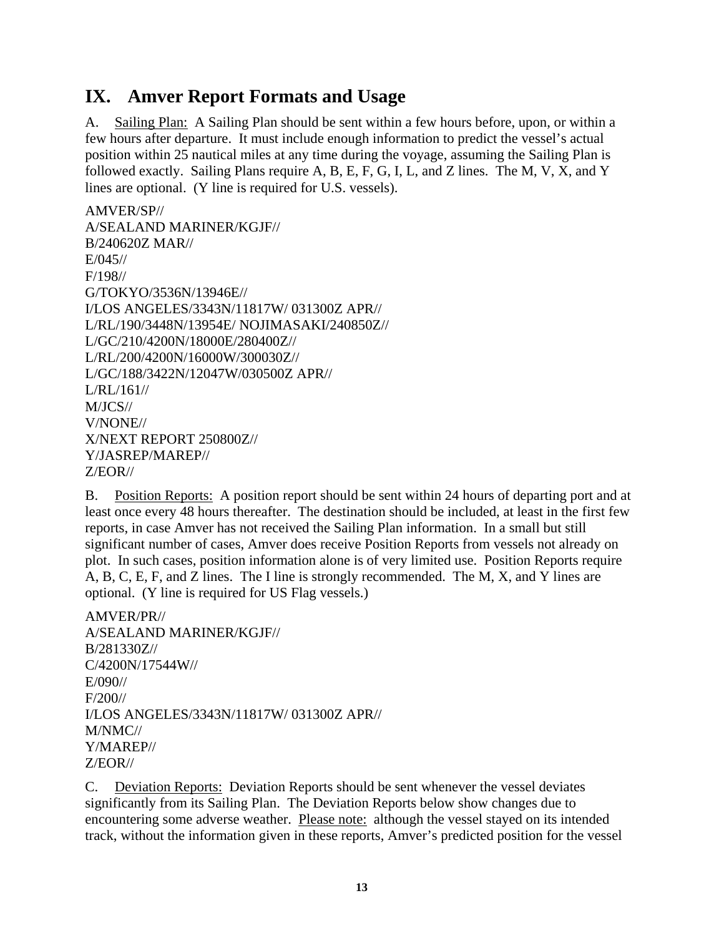### **IX. Amver Report Formats and Usage**

A. Sailing Plan: A Sailing Plan should be sent within a few hours before, upon, or within a few hours after departure. It must include enough information to predict the vessel's actual position within 25 nautical miles at any time during the voyage, assuming the Sailing Plan is followed exactly. Sailing Plans require A, B, E, F, G, I, L, and Z lines. The M, V, X, and Y lines are optional. (Y line is required for U.S. vessels).

```
AMVER/SP// 
A/SEALAND MARINER/KGJF// 
B/240620Z MAR// 
E/045// 
F/198// 
G/TOKYO/3536N/13946E// 
I/LOS ANGELES/3343N/11817W/ 031300Z APR// 
L/RL/190/3448N/13954E/ NOJIMASAKI/240850Z// 
L/GC/210/4200N/18000E/280400Z// 
L/RL/200/4200N/16000W/300030Z// 
L/GC/188/3422N/12047W/030500Z APR// 
L/RL/161// 
M/JCS// 
V/NONE// 
X/NEXT REPORT 250800Z// 
Y/JASREP/MAREP// 
Z/EOR//
```
B. Position Reports: A position report should be sent within 24 hours of departing port and at least once every 48 hours thereafter. The destination should be included, at least in the first few reports, in case Amver has not received the Sailing Plan information. In a small but still significant number of cases, Amver does receive Position Reports from vessels not already on plot. In such cases, position information alone is of very limited use. Position Reports require A, B, C, E, F, and Z lines. The I line is strongly recommended. The M, X, and Y lines are optional. (Y line is required for US Flag vessels.)

AMVER/PR// A/SEALAND MARINER/KGJF// B/281330Z// C/4200N/17544W// E/090// F/200// I/LOS ANGELES/3343N/11817W/ 031300Z APR// M/NMC// Y/MAREP// Z/EOR//

C. Deviation Reports: Deviation Reports should be sent whenever the vessel deviates significantly from its Sailing Plan. The Deviation Reports below show changes due to encountering some adverse weather. Please note: although the vessel stayed on its intended track, without the information given in these reports, Amver's predicted position for the vessel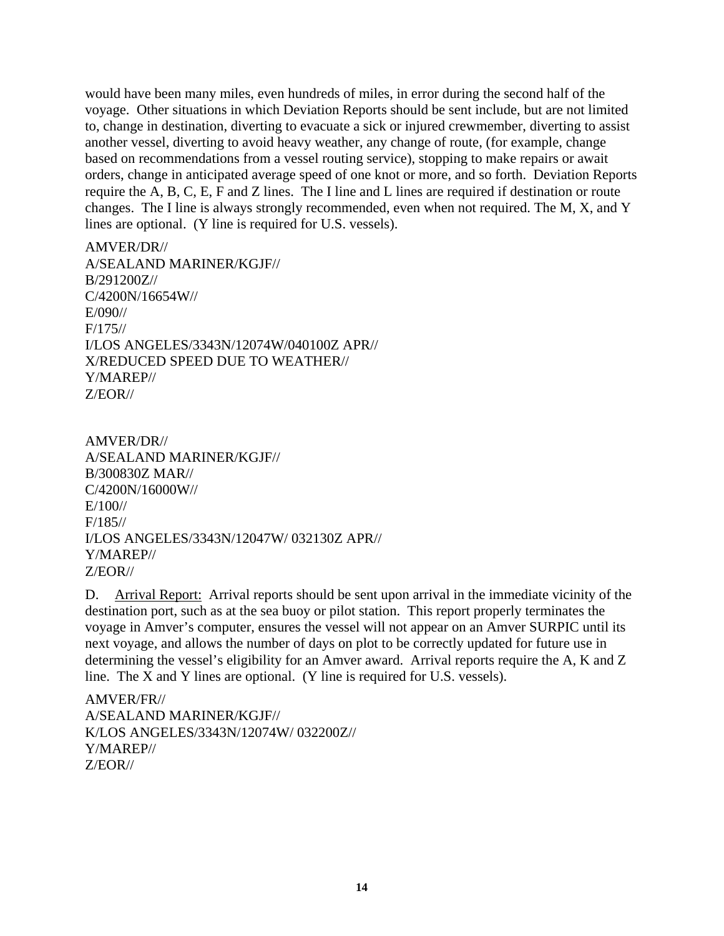would have been many miles, even hundreds of miles, in error during the second half of the voyage. Other situations in which Deviation Reports should be sent include, but are not limited to, change in destination, diverting to evacuate a sick or injured crewmember, diverting to assist another vessel, diverting to avoid heavy weather, any change of route, (for example, change based on recommendations from a vessel routing service), stopping to make repairs or await orders, change in anticipated average speed of one knot or more, and so forth. Deviation Reports require the A, B, C, E, F and Z lines. The I line and L lines are required if destination or route changes. The I line is always strongly recommended, even when not required. The M, X, and Y lines are optional. (Y line is required for U.S. vessels).

AMVER/DR// A/SEALAND MARINER/KGJF// B/291200Z// C/4200N/16654W// E/090// F/175// I/LOS ANGELES/3343N/12074W/040100Z APR// X/REDUCED SPEED DUE TO WEATHER// Y/MAREP// Z/EOR//

AMVER/DR// A/SEALAND MARINER/KGJF// B/300830Z MAR// C/4200N/16000W// E/100// F/185// I/LOS ANGELES/3343N/12047W/ 032130Z APR// Y/MAREP// Z/EOR//

D. Arrival Report: Arrival reports should be sent upon arrival in the immediate vicinity of the destination port, such as at the sea buoy or pilot station. This report properly terminates the voyage in Amver's computer, ensures the vessel will not appear on an Amver SURPIC until its next voyage, and allows the number of days on plot to be correctly updated for future use in determining the vessel's eligibility for an Amver award. Arrival reports require the A, K and Z line. The X and Y lines are optional. (Y line is required for U.S. vessels).

AMVER/FR// A/SEALAND MARINER/KGJF// K/LOS ANGELES/3343N/12074W/ 032200Z// Y/MAREP// Z/EOR//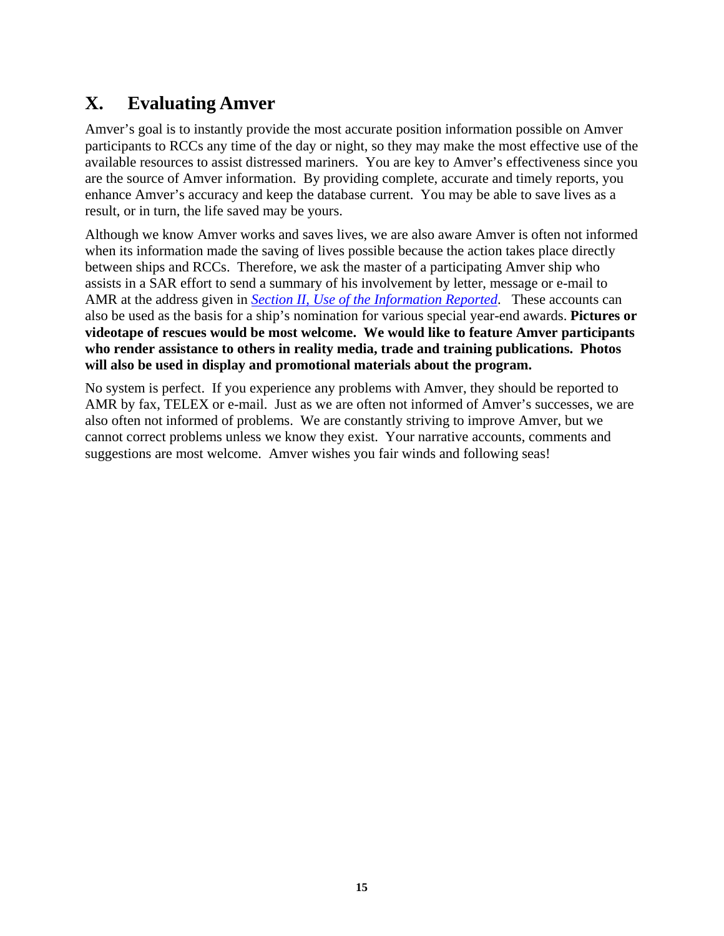## **X. Evaluating Amver**

Amver's goal is to instantly provide the most accurate position information possible on Amver participants to RCCs any time of the day or night, so they may make the most effective use of the available resources to assist distressed mariners. You are key to Amver's effectiveness since you are the source of Amver information. By providing complete, accurate and timely reports, you enhance Amver's accuracy and keep the database current. You may be able to save lives as a result, or in turn, the life saved may be yours.

Although we know Amver works and saves lives, we are also aware Amver is often not informed when its information made the saving of lives possible because the action takes place directly between ships and RCCs. Therefore, we ask the master of a participating Amver ship who assists in a SAR effort to send a summary of his involvement by letter, message or e-mail to AMR at the address given in *Section II, Use of the Information Reported*. These accounts can also be used as the basis for a ship's nomination for various special year-end awards. **Pictures or videotape of rescues would be most welcome. We would like to feature Amver participants who render assistance to others in reality media, trade and training publications. Photos will also be used in display and promotional materials about the program.** 

No system is perfect. If you experience any problems with Amver, they should be reported to AMR by fax, TELEX or e-mail. Just as we are often not informed of Amver's successes, we are also often not informed of problems. We are constantly striving to improve Amver, but we cannot correct problems unless we know they exist. Your narrative accounts, comments and suggestions are most welcome. Amver wishes you fair winds and following seas!